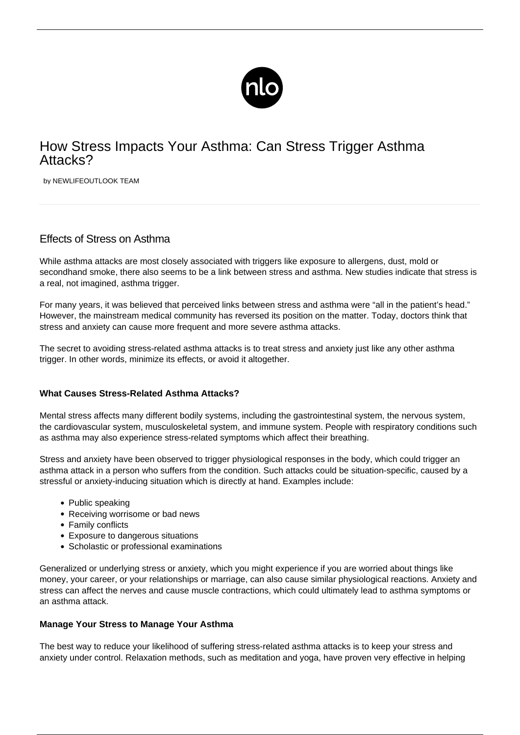

## How Stress Impacts Your Asthma: Can Stress Trigger Asthma Attacks?

by NEWLIFEOUTLOOK TEAM

## Effects of Stress on Asthma

While asthma attacks are most closely associated with triggers like exposure to allergens, dust, mold or secondhand smoke, there also seems to be a link between stress and asthma. New studies indicate that stress is a real, not imagined, asthma trigger.

For many years, it was believed that perceived links between stress and asthma were "all in the patient's head." However, the mainstream medical community has reversed its position on the matter. Today, doctors think that stress and anxiety can cause more frequent and more severe asthma attacks.

The secret to avoiding stress-related asthma attacks is to treat stress and anxiety just like any other asthma trigger. In other words, minimize its effects, or avoid it altogether.

## **What Causes Stress-Related Asthma Attacks?**

Mental stress affects many different bodily systems, including the gastrointestinal system, the nervous system, the cardiovascular system, musculoskeletal system, and immune system. People with respiratory conditions such as asthma may also experience stress-related symptoms which affect their breathing.

Stress and anxiety have been observed to trigger physiological responses in the body, which could trigger an asthma attack in a person who suffers from the condition. Such attacks could be situation-specific, caused by a stressful or anxiety-inducing situation which is directly at hand. Examples include:

- Public speaking
- Receiving worrisome or bad news
- Family conflicts
- Exposure to dangerous situations
- Scholastic or professional examinations

Generalized or underlying stress or anxiety, which you might experience if you are worried about things like money, your career, or your relationships or marriage, can also cause similar physiological reactions. Anxiety and stress can affect the nerves and cause muscle contractions, which could ultimately lead to asthma symptoms or an asthma attack.

## **Manage Your Stress to Manage Your Asthma**

The best way to reduce your likelihood of suffering stress-related asthma attacks is to keep your stress and anxiety under control. Relaxation methods, such as meditation and yoga, have proven very effective in helping